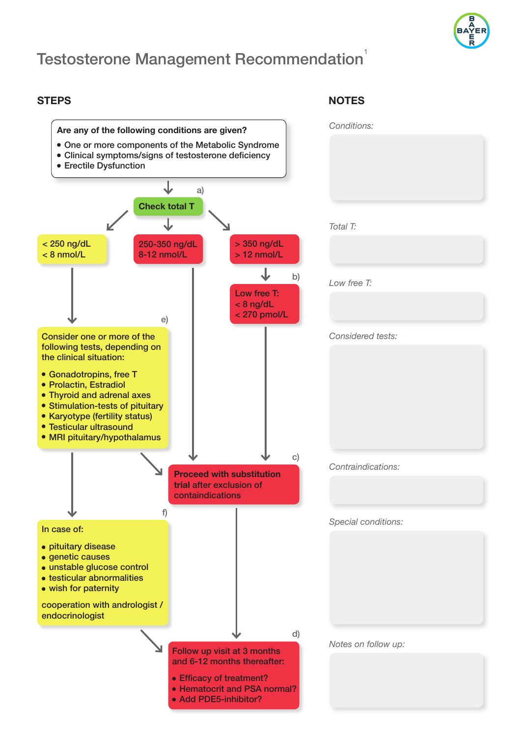

# **Testosterone Management Recommendation**

### **STEPS NOTES**